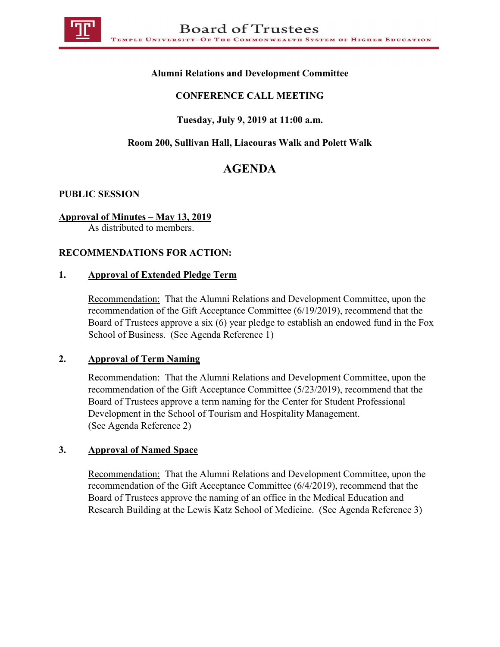

## **Alumni Relations and Development Committee**

## **CONFERENCE CALL MEETING**

## **Tuesday, July 9, 2019 at 11:00 a.m.**

## **Room 200, Sullivan Hall, Liacouras Walk and Polett Walk**

# **AGENDA**

#### **PUBLIC SESSION**

#### **Approval of Minutes – May 13, 2019**

As distributed to members.

## **RECOMMENDATIONS FOR ACTION:**

#### **1. Approval of Extended Pledge Term**

Recommendation: That the Alumni Relations and Development Committee, upon the recommendation of the Gift Acceptance Committee (6/19/2019), recommend that the Board of Trustees approve a six (6) year pledge to establish an endowed fund in the Fox School of Business. (See Agenda Reference 1)

#### **2. Approval of Term Naming**

Recommendation: That the Alumni Relations and Development Committee, upon the recommendation of the Gift Acceptance Committee (5/23/2019), recommend that the Board of Trustees approve a term naming for the Center for Student Professional Development in the School of Tourism and Hospitality Management. (See Agenda Reference 2)

#### **3. Approval of Named Space**

Recommendation: That the Alumni Relations and Development Committee, upon the recommendation of the Gift Acceptance Committee (6/4/2019), recommend that the Board of Trustees approve the naming of an office in the Medical Education and Research Building at the Lewis Katz School of Medicine. (See Agenda Reference 3)